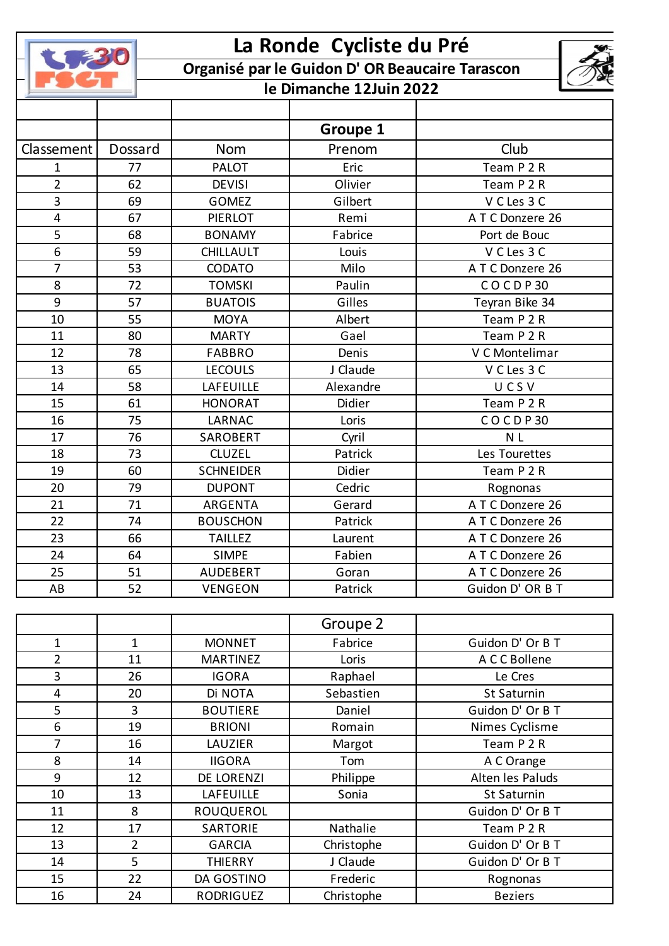|                |                | La Ronde Cycliste du Pré |                                                 |                    |  |
|----------------|----------------|--------------------------|-------------------------------------------------|--------------------|--|
|                |                |                          | Organisé par le Guidon D' OR Beaucaire Tarascon |                    |  |
|                |                | le Dimanche 12Juin 2022  |                                                 |                    |  |
|                |                |                          |                                                 |                    |  |
|                |                |                          | <b>Groupe 1</b>                                 |                    |  |
| Classement     | Dossard        | <b>Nom</b>               | Prenom                                          | Club               |  |
| 1              | 77             | <b>PALOT</b>             | Eric                                            | Team P 2 R         |  |
| $\overline{2}$ | 62             | <b>DEVISI</b>            | Olivier                                         | Team P 2 R         |  |
| 3              | 69             | <b>GOMEZ</b>             | Gilbert                                         | V C Les 3 C        |  |
| 4              | 67             | <b>PIERLOT</b>           | Remi                                            | A T C Donzere 26   |  |
| 5              | 68             | <b>BONAMY</b>            | Fabrice                                         | Port de Bouc       |  |
| 6              | 59             | <b>CHILLAULT</b>         | Louis                                           | V C Les 3 C        |  |
| $\overline{7}$ | 53             | CODATO                   | Milo                                            | A T C Donzere 26   |  |
| 8              | 72             | <b>TOMSKI</b>            | Paulin                                          | COCDP30            |  |
| 9              | 57             | <b>BUATOIS</b>           | Gilles                                          | Teyran Bike 34     |  |
| 10             | 55             | <b>MOYA</b>              | Albert                                          | Team P 2 R         |  |
| 11             | 80             | <b>MARTY</b>             | Gael                                            | Team P 2 R         |  |
| 12             | 78             | <b>FABBRO</b>            | Denis                                           | V C Montelimar     |  |
| 13             | 65             | <b>LECOULS</b>           | J Claude                                        | V C Les 3 C        |  |
| 14             | 58             | LAFEUILLE                | Alexandre                                       | UCSV               |  |
| 15             | 61             | <b>HONORAT</b>           | Didier                                          | Team P 2 R         |  |
| 16             | 75             | LARNAC                   | Loris                                           | COCDP30            |  |
| 17             | 76             | SAROBERT                 | Cyril                                           | N <sub>L</sub>     |  |
| 18             | 73             | <b>CLUZEL</b>            | Patrick                                         | Les Tourettes      |  |
| 19             | 60             | <b>SCHNEIDER</b>         | Didier                                          | Team P 2 R         |  |
| 20             | 79             | <b>DUPONT</b>            | Cedric                                          | Rognonas           |  |
| 21             | 71             | ARGENTA                  | Gerard                                          | A T C Donzere 26   |  |
| 22             | 74             | <b>BOUSCHON</b>          | Patrick                                         | ATC Donzere 26     |  |
| 23             | 66             | <b>TAILLEZ</b>           | Laurent                                         | ATC Donzere 26     |  |
| 24             | 64             | <b>SIMPE</b>             | Fabien                                          | A T C Donzere 26   |  |
| 25             | 51             | <b>AUDEBERT</b>          | Goran                                           | A T C Donzere 26   |  |
| AB             | 52             | <b>VENGEON</b>           | Patrick                                         | Guidon D' OR B T   |  |
|                |                |                          |                                                 |                    |  |
|                |                |                          | Groupe 2                                        |                    |  |
| 1              | $\mathbf{1}$   | <b>MONNET</b>            | Fabrice                                         | Guidon D' Or B T   |  |
| $\overline{2}$ | 11             | <b>MARTINEZ</b>          | Loris                                           | A C C Bollene      |  |
| 3              | 26             | <b>IGORA</b>             | Raphael                                         | Le Cres            |  |
| 4              | 20             | Di NOTA                  | Sebastien                                       | <b>St Saturnin</b> |  |
| 5              | 3              | <b>BOUTIERE</b>          | Daniel                                          | Guidon D' Or B T   |  |
| 6              | 19             | <b>BRIONI</b>            | Romain                                          | Nimes Cyclisme     |  |
| 7              | 16             | LAUZIER                  | Margot                                          | Team P 2 R         |  |
| 8              | 14             | <b>IIGORA</b>            | Tom                                             | A C Orange         |  |
| 9              | 12             | DE LORENZI               | Philippe                                        | Alten les Paluds   |  |
| 10             | 13             | LAFEUILLE                | Sonia                                           | St Saturnin        |  |
| 11             | 8              | ROUQUEROL                |                                                 | Guidon D' Or B T   |  |
| 12             | 17             | SARTORIE                 | Nathalie                                        | Team P 2 R         |  |
| 13             | $\overline{2}$ | <b>GARCIA</b>            | Christophe                                      | Guidon D' Or B T   |  |
| 14             | 5              | <b>THIERRY</b>           | J Claude                                        | Guidon D' Or B T   |  |
| 15             | 22             | DA GOSTINO               | Frederic                                        | Rognonas           |  |
| 16             | 24             | RODRIGUEZ                | Christophe                                      | <b>Beziers</b>     |  |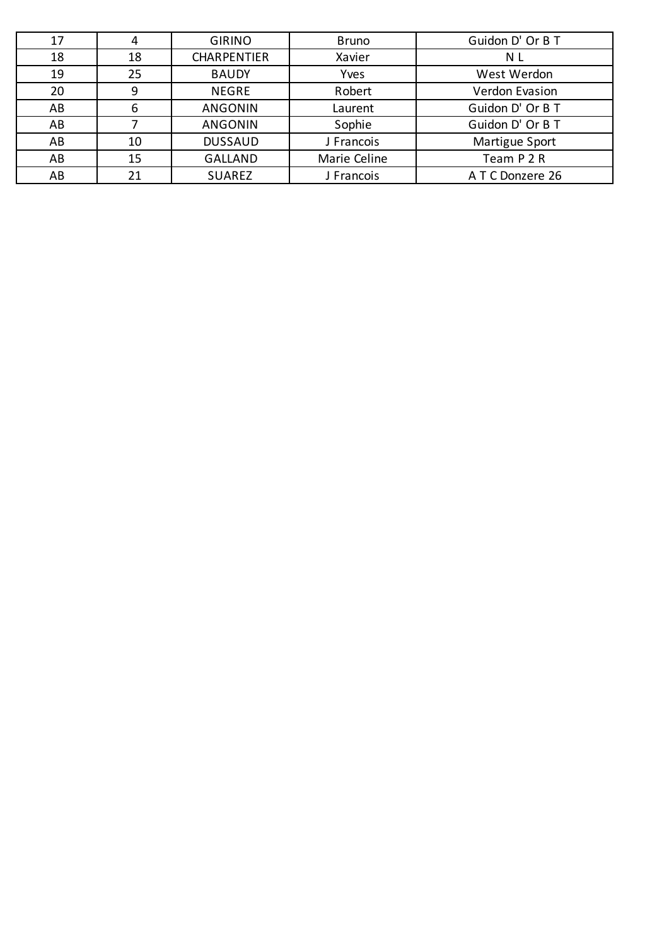| 17 | 4  | <b>GIRINO</b>      | <b>Bruno</b> | Guidon D' Or B T |
|----|----|--------------------|--------------|------------------|
| 18 | 18 | <b>CHARPENTIER</b> | Xavier       | N L              |
| 19 | 25 | <b>BAUDY</b>       | Yves         | West Werdon      |
| 20 | 9  | <b>NEGRE</b>       | Robert       | Verdon Evasion   |
| AB | 6  | <b>ANGONIN</b>     | Laurent      | Guidon D' Or B T |
| AB |    | <b>ANGONIN</b>     | Sophie       | Guidon D' Or B T |
| AB | 10 | <b>DUSSAUD</b>     | J Francois   | Martigue Sport   |
| AB | 15 | <b>GALLAND</b>     | Marie Celine | Team P 2 R       |
| AB | 21 | <b>SUAREZ</b>      | J Francois   | A T C Donzere 26 |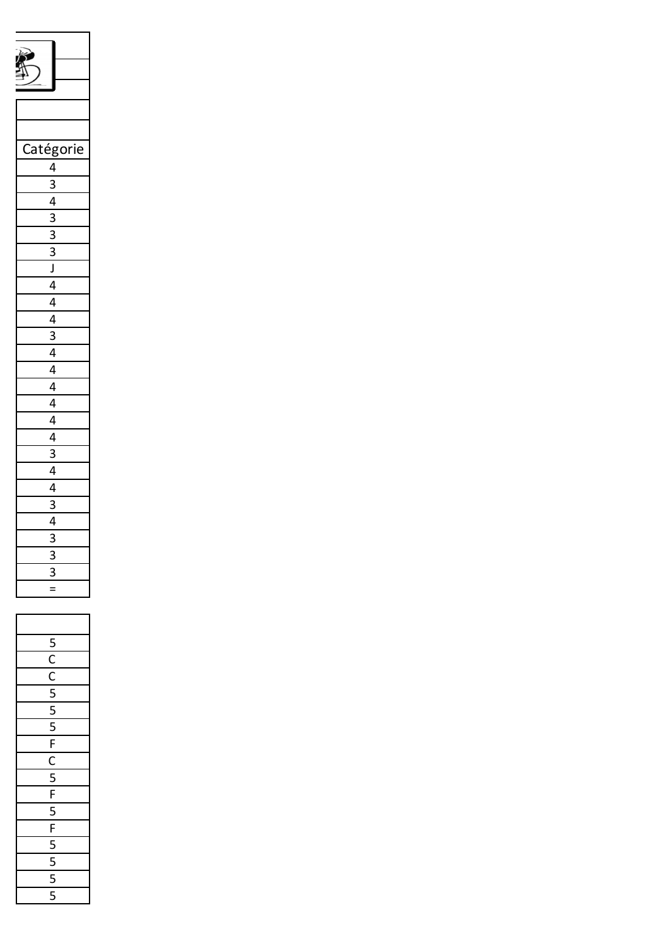| atégorie<br>(                                                                                                                                                                                                     |
|-------------------------------------------------------------------------------------------------------------------------------------------------------------------------------------------------------------------|
| $\frac{4}{3}$ $\frac{3}{4}$ $\frac{4}{3}$ $\frac{3}{3}$ $\frac{3}{5}$ $\frac{1}{4}$ $\frac{4}{4}$ $\frac{4}{3}$ $\frac{4}{4}$ $\frac{4}{4}$ $\frac{4}{4}$ $\frac{4}{3}$ $\frac{4}{4}$ $\frac{3}{3}$ $\frac{4}{4}$ |
|                                                                                                                                                                                                                   |
|                                                                                                                                                                                                                   |
|                                                                                                                                                                                                                   |
|                                                                                                                                                                                                                   |
|                                                                                                                                                                                                                   |
|                                                                                                                                                                                                                   |
|                                                                                                                                                                                                                   |
|                                                                                                                                                                                                                   |
|                                                                                                                                                                                                                   |
|                                                                                                                                                                                                                   |
|                                                                                                                                                                                                                   |
|                                                                                                                                                                                                                   |
|                                                                                                                                                                                                                   |
|                                                                                                                                                                                                                   |
|                                                                                                                                                                                                                   |
|                                                                                                                                                                                                                   |
|                                                                                                                                                                                                                   |
|                                                                                                                                                                                                                   |
|                                                                                                                                                                                                                   |
|                                                                                                                                                                                                                   |
| $\overline{\phantom{a}}$<br>$\mathbf{r}$                                                                                                                                                                          |
|                                                                                                                                                                                                                   |
| 3                                                                                                                                                                                                                 |
|                                                                                                                                                                                                                   |
|                                                                                                                                                                                                                   |
|                                                                                                                                                                                                                   |
| ŗ                                                                                                                                                                                                                 |
| ſ                                                                                                                                                                                                                 |
| ſ                                                                                                                                                                                                                 |
| ŗ                                                                                                                                                                                                                 |
| ŗ<br>Ć                                                                                                                                                                                                            |
| Ľ<br>J                                                                                                                                                                                                            |
| F                                                                                                                                                                                                                 |
| $\mathsf{C}$<br>Ē                                                                                                                                                                                                 |
|                                                                                                                                                                                                                   |
| F                                                                                                                                                                                                                 |